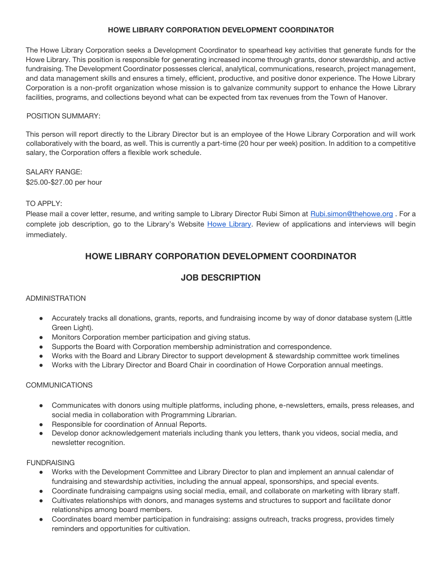## **HOWE LIBRARY CORPORATION DEVELOPMENT COORDINATOR**

The Howe Library Corporation seeks a Development Coordinator to spearhead key activities that generate funds for the Howe Library. This position is responsible for generating increased income through grants, donor stewardship, and active fundraising. The Development Coordinator possesses clerical, analytical, communications, research, project management, and data management skills and ensures a timely, efficient, productive, and positive donor experience. The Howe Library Corporation is a non-profit organization whose mission is to galvanize community support to enhance the Howe Library facilities, programs, and collections beyond what can be expected from tax revenues from the Town of Hanover.

## POSITION SUMMARY:

This person will report directly to the Library Director but is an employee of the Howe Library Corporation and will work collaboratively with the board, as well. This is currently a part-time (20 hour per week) position. In addition to a competitive salary, the Corporation offers a flexible work schedule.

SALARY RANGE: \$25.00-\$27.00 per hour

## TO APPLY:

Please mail a cover letter, resume, and writing sample to Library Director Rubi Simon at [Rubi.simon@thehowe.org](mailto:Rubi.simon@thehowe.org) . For a complete job description, go to the Library's Website [Howe Library.](https://www.thehowe.org/corporationnews) Review of applications and interviews will begin immediately.

# **HOWE LIBRARY CORPORATION DEVELOPMENT COORDINATOR**

## **JOB DESCRIPTION**

#### ADMINISTRATION

- Accurately tracks all donations, grants, reports, and fundraising income by way of donor database system (Little Green Light).
- Monitors Corporation member participation and giving status.
- Supports the Board with Corporation membership administration and correspondence.
- Works with the Board and Library Director to support development & stewardship committee work timelines
- Works with the Library Director and Board Chair in coordination of Howe Corporation annual meetings.

## COMMUNICATIONS

- Communicates with donors using multiple platforms, including phone, e-newsletters, emails, press releases, and social media in collaboration with Programming Librarian.
- Responsible for coordination of Annual Reports.
- Develop donor acknowledgement materials including thank you letters, thank you videos, social media, and newsletter recognition.

#### **FUNDRAISING**

- Works with the Development Committee and Library Director to plan and implement an annual calendar of fundraising and stewardship activities, including the annual appeal, sponsorships, and special events.
- Coordinate fundraising campaigns using social media, email, and collaborate on marketing with library staff.
- Cultivates relationships with donors, and manages systems and structures to support and facilitate donor relationships among board members.
- Coordinates board member participation in fundraising: assigns outreach, tracks progress, provides timely reminders and opportunities for cultivation.